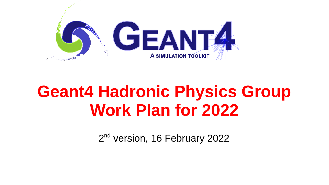

# **Geant4 Hadronic Physics Group Work Plan for 2022**

2<sup>nd</sup> version, 16 February 2022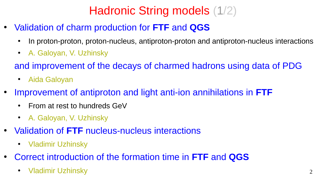# Hadronic String models (1/2)

- Validation of charm production for **FTF** and **QGS**
	- In proton-proton, proton-nucleus, antiproton-proton and antiproton-nucleus interactions
	- A. Galovan, V. Uzhinsky
	- and improvement of the decays of charmed hadrons using data of PDG
		- Aida Galovan
- Improvement of antiproton and light anti-ion annihilations in **FTF**
	- From at rest to hundreds GeV
	- A. Galoyan, V. Uzhinsky
- Validation of FTF nucleus-nucleus interactions
	- Vladimir Uzhinsky
- Correct introduction of the formation time in **FTF** and **QGS**
	- Vladimir Uzhinsky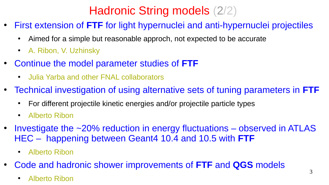# Hadronic String models (2/2)

- First extension of **FTF** for light hypernuclei and anti-hypernuclei projectiles
	- Aimed for a simple but reasonable approch, not expected to be accurate
	- A. Ribon, V. Uzhinsky
- Continue the model parameter studies of **FTF**
	- **Julia Yarba and other FNAL collaborators**
- Technical investigation of using alternative sets of tuning parameters in **FTF**
	- For different projectile kinetic energies and/or projectile particle types
	- Alberto Ribon
- Investigate the  $\sim$ 20% reduction in energy fluctuations observed in ATLAS HEC – happening between Geant4 10.4 and 10.5 with **FTF**
	- Alberto Ribon
- Code and hadronic shower improvements of **FTF** and **QGS** models
	- Alberto Ribon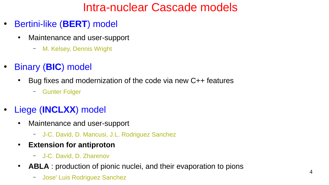## Intra-nuclear Cascade models

- Bertini-like (**BERT**) model
	- Maintenance and user-support
		- M. Kelsey, Dennis Wright
- Binary (**BIC**) model
	- $\cdot$  Bug fixes and modernization of the code via new C++ features
		- Gunter Folger
- Liege (**INCLXX**) model
	- Maintenance and user-support
		- J-C. David, D. Mancusi, J.L. Rodriguez Sanchez
	- **Extension for antiproton**
		- J-C. David, D. Zharenov
	- ABLA : production of pionic nuclei, and their evaporation to pions
		- Jose' Luis Rodriguez Sanchez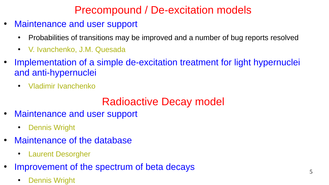### Precompound / De-excitation models

- Maintenance and user support
	- Probabilities of transitions may be improved and a number of bug reports resolved
	- V. Ivanchenko, J.M. Quesada
- Implementation of a simple de-excitation treatment for light hypernuclei and anti-hypernuclei
	- Vladimir Ivanchenko

#### Radioactive Decay model

- Maintenance and user support
	- Dennis Wright
- Maintenance of the database
	- Laurent Desorgher
- Improvement of the spectrum of beta decays
	- **Dennis Wright**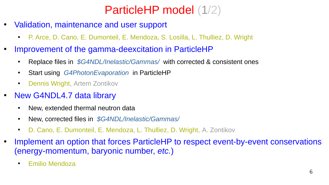## ParticleHP model (1/2)

- Validation, maintenance and user support
	- P. Arce, D. Cano, E. Dumonteil, E. Mendoza, S. Losilla, L. Thulliez, D. Wright
- Improvement of the gamma-deexcitation in ParticleHP
	- Replace files in *\$G4NDL/Inelastic/Gammas*/ with corrected & consistent ones
	- Start using *G4PhotonEvaporation* in ParticleHP
	- Dennis Wright, Artem Zontikov
- New G4NDL4.7 data library
	- New, extended thermal neutron data
	- New, corrected files in *\$G4NDL/Inelastic/Gammas/*
	- D. Cano, E. Dumonteil, E. Mendoza, L. Thulliez, D. Wright, A. Zontikov
- Implement an option that forces ParticleHP to respect event-by-event conservations (energy-momentum, baryonic number, *etc.*)
	- Emilio Mendoza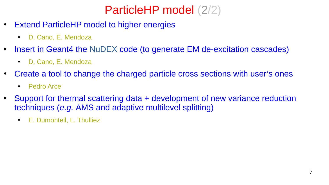## ParticleHP model (2/2)

- **Extend ParticleHP model to higher energies** 
	- D. Cano, E. Mendoza
- Insert in Geant4 the NuDEX code (to generate EM de-excitation cascades)
	- D. Cano, E. Mendoza
- Create a tool to change the charged particle cross sections with user's ones
	- Pedro Arce
- Support for thermal scattering data + development of new variance reduction techniques (*e.g.* AMS and adaptive multilevel splitting)
	- E. Dumonteil, L. Thulliez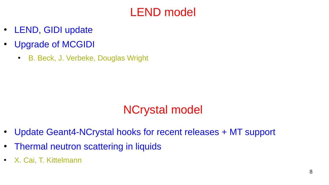#### LEND model

- LEND, GIDI update
- Upgrade of MCGIDI
	- B. Beck, J. Verbeke, Douglas Wright

## NCrystal model

- Update Geant4-NCrystal hooks for recent releases + MT support
- **Thermal neutron scattering in liquids**
- X. Cai, T. Kittelmann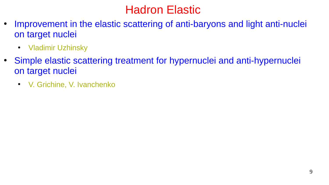## Hadron Elastic

- Improvement in the elastic scattering of anti-baryons and light anti-nuclei on target nuclei
	- Vladimir Uzhinsky
- Simple elastic scattering treatment for hypernuclei and anti-hypernuclei on target nuclei
	- V. Grichine, V. Ivanchenko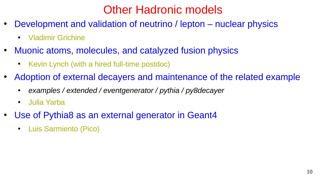### Other Hadronic models

- Development and validation of neutrino / lepton nuclear physics
	- Vladimir Grichine
- Muonic atoms, molecules, and catalyzed fusion physics
	- Kevin Lynch (with a hired full-time postdoc)
- Adoption of external decayers and maintenance of the related example
	- *examples / extended / eventgenerator / pythia / py8decayer*
	- Julia Yarba
- Use of Pythia8 as an external generator in Geant4
	- **Luis Sarmiento (Pico)**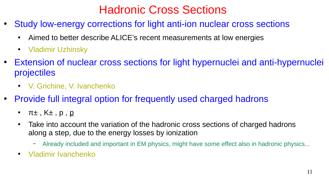## Hadronic Cross Sections

- Study low-energy corrections for light anti-ion nuclear cross sections
	- Aimed to better describe ALICE's recent measurements at low energies
	- Vladimir Uzhinsky
- Extension of nuclear cross sections for light hypernuclei and anti-hypernuclei projectiles
	- V. Grichine, V. Ivanchenko
- Provide full integral option for frequently used charged hadrons
	- π± , K± , p , p
	- Take into account the variation of the hadronic cross sections of charged hadrons along a step, due to the energy losses by ionization
		- Already included and important in EM physics, might have some effect also in hadronic physics...
	- Vladimir Ivanchenko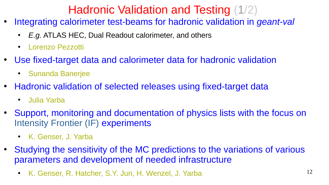## Hadronic Validation and Testing (1/2)

- Integrating calorimeter test-beams for hadronic validation in *geant-val*
	- E.g. ATLAS HEC, Dual Readout calorimeter, and others
	- Lorenzo Pezzotti
- Use fixed-target data and calorimeter data for hadronic validation
	- **Sunanda Banerjee**
- Hadronic validation of selected releases using fixed-target data
	- Julia Yarba
- Support, monitoring and documentation of physics lists with the focus on Intensity Frontier (IF) experiments
	- K. Genser, J. Yarba
- Studying the sensitivity of the MC predictions to the variations of various parameters and development of needed infrastructure
	- K. Genser, R. Hatcher, S.Y. Jun, H. Wenzel, J. Yarba